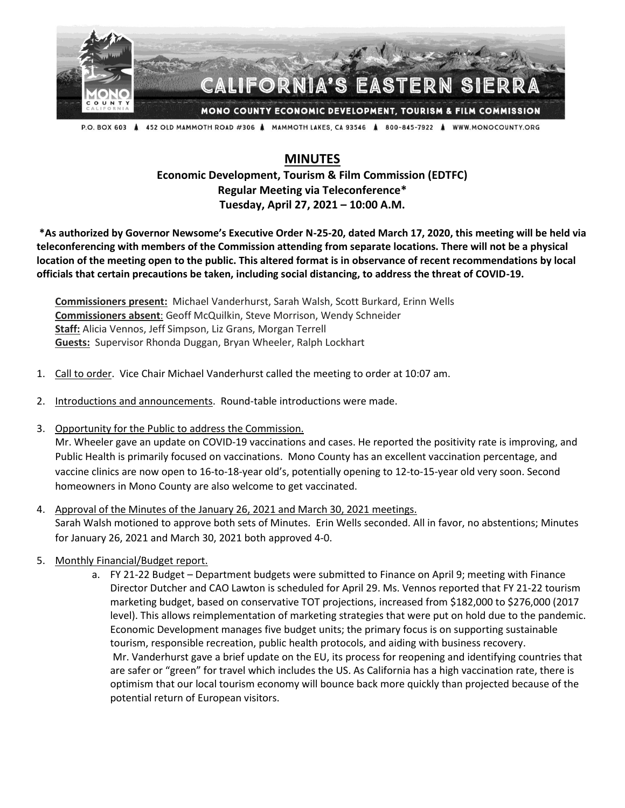

P.O. BOX 603 A 452 OLD MAMMOTH ROAD #306 A MAMMOTH LAKES, CA 93546 A 800-845-7922 A WWW.MONOCOUNTY.ORG

## **MINUTES**

**Economic Development, Tourism & Film Commission (EDTFC) Regular Meeting via Teleconference\* Tuesday, April 27, 2021 – 10:00 A.M.**

**\*As authorized by Governor Newsome's Executive Order N-25-20, dated March 17, 2020, this meeting will be held via teleconferencing with members of the Commission attending from separate locations. There will not be a physical location of the meeting open to the public. This altered format is in observance of recent recommendations by local officials that certain precautions be taken, including social distancing, to address the threat of COVID-19.**

**Commissioners present:** Michael Vanderhurst, Sarah Walsh, Scott Burkard, Erinn Wells **Commissioners absent**: Geoff McQuilkin, Steve Morrison, Wendy Schneider **Staff:** Alicia Vennos, Jeff Simpson, Liz Grans, Morgan Terrell **Guests:** Supervisor Rhonda Duggan, Bryan Wheeler, Ralph Lockhart

- 1. Call to order. Vice Chair Michael Vanderhurst called the meeting to order at 10:07 am.
- 2. Introductions and announcements. Round-table introductions were made.
- 3. Opportunity for the Public to address the Commission.

Mr. Wheeler gave an update on COVID-19 vaccinations and cases. He reported the positivity rate is improving, and Public Health is primarily focused on vaccinations. Mono County has an excellent vaccination percentage, and vaccine clinics are now open to 16-to-18-year old's, potentially opening to 12-to-15-year old very soon. Second homeowners in Mono County are also welcome to get vaccinated.

- 4. Approval of the Minutes of the January 26, 2021 and March 30, 2021 meetings. Sarah Walsh motioned to approve both sets of Minutes. Erin Wells seconded. All in favor, no abstentions; Minutes for January 26, 2021 and March 30, 2021 both approved 4-0.
- 5. Monthly Financial/Budget report.
	- a. FY 21-22 Budget Department budgets were submitted to Finance on April 9; meeting with Finance Director Dutcher and CAO Lawton is scheduled for April 29. Ms. Vennos reported that FY 21-22 tourism marketing budget, based on conservative TOT projections, increased from \$182,000 to \$276,000 (2017 level). This allows reimplementation of marketing strategies that were put on hold due to the pandemic. Economic Development manages five budget units; the primary focus is on supporting sustainable tourism, responsible recreation, public health protocols, and aiding with business recovery. Mr. Vanderhurst gave a brief update on the EU, its process for reopening and identifying countries that are safer or "green" for travel which includes the US. As California has a high vaccination rate, there is optimism that our local tourism economy will bounce back more quickly than projected because of the potential return of European visitors.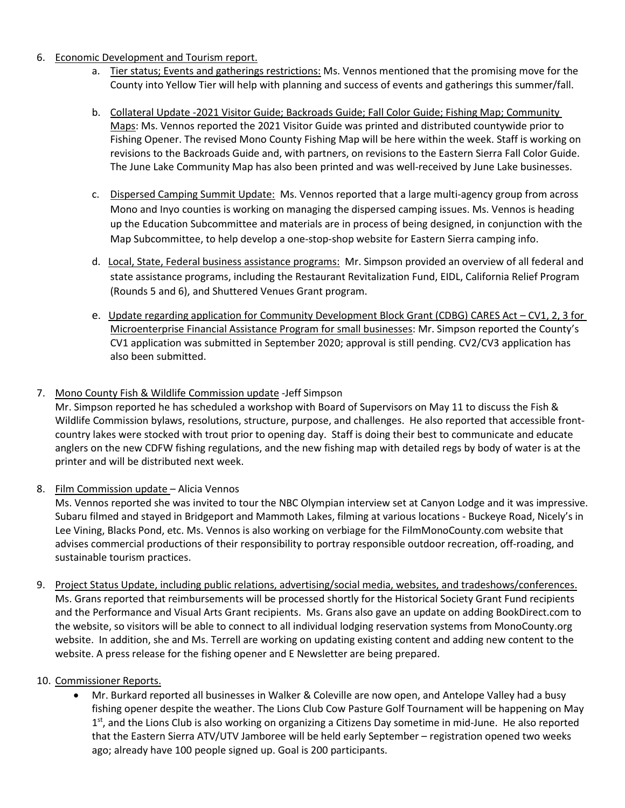- 6. Economic Development and Tourism report.
	- a. Tier status; Events and gatherings restrictions: Ms. Vennos mentioned that the promising move for the County into Yellow Tier will help with planning and success of events and gatherings this summer/fall.
	- b. Collateral Update -2021 Visitor Guide; Backroads Guide; Fall Color Guide; Fishing Map; Community Maps: Ms. Vennos reported the 2021 Visitor Guide was printed and distributed countywide prior to Fishing Opener. The revised Mono County Fishing Map will be here within the week. Staff is working on revisions to the Backroads Guide and, with partners, on revisions to the Eastern Sierra Fall Color Guide. The June Lake Community Map has also been printed and was well-received by June Lake businesses.
	- c. Dispersed Camping Summit Update: Ms. Vennos reported that a large multi-agency group from across Mono and Inyo counties is working on managing the dispersed camping issues. Ms. Vennos is heading up the Education Subcommittee and materials are in process of being designed, in conjunction with the Map Subcommittee, to help develop a one-stop-shop website for Eastern Sierra camping info.
	- d. Local, State, Federal business assistance programs: Mr. Simpson provided an overview of all federal and state assistance programs, including the Restaurant Revitalization Fund, EIDL, California Relief Program (Rounds 5 and 6), and Shuttered Venues Grant program.
	- e. Update regarding application for Community Development Block Grant (CDBG) CARES Act CV1, 2, 3 for Microenterprise Financial Assistance Program for small businesses: Mr. Simpson reported the County's CV1 application was submitted in September 2020; approval is still pending. CV2/CV3 application has also been submitted.

## 7. Mono County Fish & Wildlife Commission update -Jeff Simpson

Mr. Simpson reported he has scheduled a workshop with Board of Supervisors on May 11 to discuss the Fish & Wildlife Commission bylaws, resolutions, structure, purpose, and challenges. He also reported that accessible frontcountry lakes were stocked with trout prior to opening day. Staff is doing their best to communicate and educate anglers on the new CDFW fishing regulations, and the new fishing map with detailed regs by body of water is at the printer and will be distributed next week.

8. Film Commission update – Alicia Vennos

Ms. Vennos reported she was invited to tour the NBC Olympian interview set at Canyon Lodge and it was impressive. Subaru filmed and stayed in Bridgeport and Mammoth Lakes, filming at various locations - Buckeye Road, Nicely's in Lee Vining, Blacks Pond, etc. Ms. Vennos is also working on verbiage for the FilmMonoCounty.com website that advises commercial productions of their responsibility to portray responsible outdoor recreation, off-roading, and sustainable tourism practices.

9. Project Status Update, including public relations, advertising/social media, websites, and tradeshows/conferences. Ms. Grans reported that reimbursements will be processed shortly for the Historical Society Grant Fund recipients and the Performance and Visual Arts Grant recipients. Ms. Grans also gave an update on adding BookDirect.com to the website, so visitors will be able to connect to all individual lodging reservation systems from MonoCounty.org website. In addition, she and Ms. Terrell are working on updating existing content and adding new content to the website. A press release for the fishing opener and E Newsletter are being prepared.

## 10. Commissioner Reports.

• Mr. Burkard reported all businesses in Walker & Coleville are now open, and Antelope Valley had a busy fishing opener despite the weather. The Lions Club Cow Pasture Golf Tournament will be happening on May 1<sup>st</sup>, and the Lions Club is also working on organizing a Citizens Day sometime in mid-June. He also reported that the Eastern Sierra ATV/UTV Jamboree will be held early September – registration opened two weeks ago; already have 100 people signed up. Goal is 200 participants.